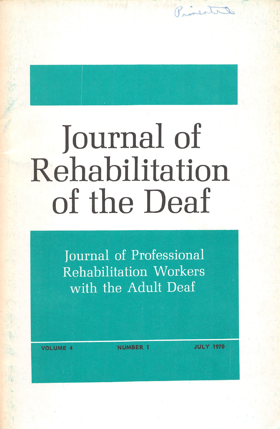## **Journal of** Rehabilitation of the Deaf

Journal of Professional **Rehabilitation Workers** with the Adult Deaf

**NUMBER 1** 

**JULY 1970** 

Rinestal